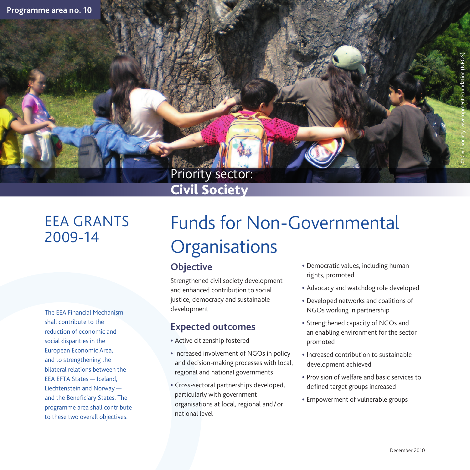## Priority sector: Civil Society

## EEA GRANTS 2009-14

The EEA Financial Mechanism shall contribute to the reduction of economic and social disparities in the European Economic Area, and to strengthening the bilateral relations between the EEA EFTA States — Iceland, Liechtenstein and Norway and the Beneficiary States. The programme area shall contribute to these two overall objectives.

# Funds for Non-Governmental **Organisations**

#### **Objective**

Strengthened civil society development and enhanced contribution to social justice, democracy and sustainable development

#### **Expected outcomes**

- Active citizenship fostered
- Increased involvement of NGOs in policy and decision-making processes with local, regional and national governments
- Cross-sectoral partnerships developed, particularly with government organisations at local, regional and / or national level
- Democratic values, including human rights, promoted
- Advocacy and watchdog role developed
- Developed networks and coalitions of NGOs working in partnership
- Strengthened capacity of NGOs and an enabling environment for the sector promoted
- Increased contribution to sustainable development achieved
- Provision of welfare and basic services to defined target groups increased
- Empowerment of vulnerable groups